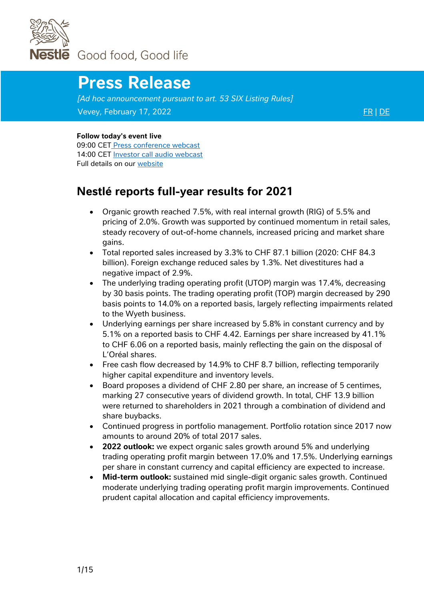

# **Press Release**

*[Ad hoc announcement pursuant to art. 53 SIX Listing Rules]* Vevey, February 17, 2022 [FR](https://www.nestle.com/sites/default/files/2022-02/2021-full-year-results-press-release-fr.pdf) | [DE](https://www.nestle.com/sites/default/files/2022-02/2021-full-year-results-press-release-de.pdf)

#### **Follow today's event live**

09:00 CET [Press conference webcast](https://edge.media-server.com/mmc/go/2021FullYearResultsPressConferenceAlt) 14:00 CET [Investor call audio webcast](https://edge.media-server.com/mmc/go/2021FullYearResults-InvestorCall) Full details on our [website](https://www.nestle.com/media/mediaeventscalendar/allevents/2021-full-year-results) 

# **Nestlé reports full-year results for 2021**

- Organic growth reached 7.5%, with real internal growth (RIG) of 5.5% and pricing of 2.0%. Growth was supported by continued momentum in retail sales, steady recovery of out-of-home channels, increased pricing and market share gains.
- Total reported sales increased by 3.3% to CHF 87.1 billion (2020: CHF 84.3 billion). Foreign exchange reduced sales by 1.3%. Net divestitures had a negative impact of 2.9%.
- The underlying trading operating profit (UTOP) margin was 17.4%, decreasing by 30 basis points. The trading operating profit (TOP) margin decreased by 290 basis points to 14.0% on a reported basis, largely reflecting impairments related to the Wyeth business.
- Underlying earnings per share increased by 5.8% in constant currency and by 5.1% on a reported basis to CHF 4.42. Earnings per share increased by 41.1% to CHF 6.06 on a reported basis, mainly reflecting the gain on the disposal of L'Oréal shares.
- Free cash flow decreased by 14.9% to CHF 8.7 billion, reflecting temporarily higher capital expenditure and inventory levels.
- Board proposes a dividend of CHF 2.80 per share, an increase of 5 centimes, marking 27 consecutive years of dividend growth. In total, CHF 13.9 billion were returned to shareholders in 2021 through a combination of dividend and share buybacks.
- Continued progress in portfolio management. Portfolio rotation since 2017 now amounts to around 20% of total 2017 sales.
- **2022 outlook:** we expect organic sales growth around 5% and underlying trading operating profit margin between 17.0% and 17.5%. Underlying earnings per share in constant currency and capital efficiency are expected to increase.
- **Mid-term outlook:** sustained mid single-digit organic sales growth. Continued moderate underlying trading operating profit margin improvements. Continued prudent capital allocation and capital efficiency improvements.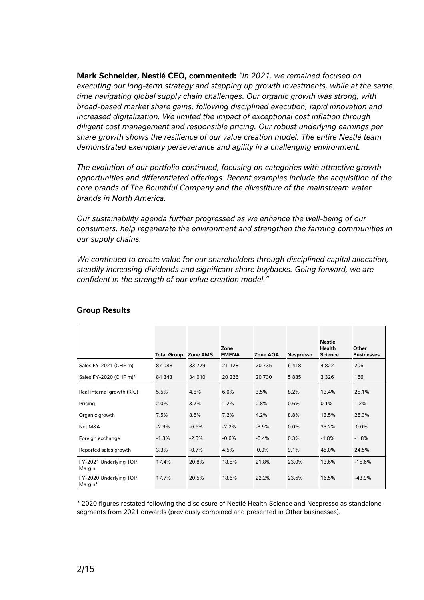**Mark Schneider, Nestlé CEO, commented:** *"In 2021, we remained focused on executing our long-term strategy and stepping up growth investments, while at the same time navigating global supply chain challenges. Our organic growth was strong, with broad-based market share gains, following disciplined execution, rapid innovation and increased digitalization. We limited the impact of exceptional cost inflation through diligent cost management and responsible pricing. Our robust underlying earnings per share growth shows the resilience of our value creation model. The entire Nestlé team demonstrated exemplary perseverance and agility in a challenging environment.*

*The evolution of our portfolio continued, focusing on categories with attractive growth opportunities and differentiated offerings. Recent examples include the acquisition of the core brands of The Bountiful Company and the divestiture of the mainstream water brands in North America.* 

*Our sustainability agenda further progressed as we enhance the well-being of our consumers, help regenerate the environment and strengthen the farming communities in our supply chains.*

*We continued to create value for our shareholders through disciplined capital allocation, steadily increasing dividends and significant share buybacks. Going forward, we are confident in the strength of our value creation model."*

|                                   | <b>Total Group Zone AMS</b> |         | Zone<br><b>EMENA</b> | Zone AOA | <b>Nespresso</b> | Nestlé<br>Health<br><b>Science</b> | Other<br><b>Businesses</b> |
|-----------------------------------|-----------------------------|---------|----------------------|----------|------------------|------------------------------------|----------------------------|
| Sales FY-2021 (CHF m)             | 87 088                      | 33779   | 21 1 28              | 20 735   | 6418             | 4822                               | 206                        |
| Sales FY-2020 (CHF m)*            | 84 343                      | 34 010  | 20 2 26              | 20 730   | 5885             | 3 3 2 6                            | 166                        |
| Real internal growth (RIG)        | 5.5%                        | 4.8%    | 6.0%                 | 3.5%     | 8.2%             | 13.4%                              | 25.1%                      |
| Pricing                           | 2.0%                        | 3.7%    | 1.2%                 | 0.8%     | 0.6%             | 0.1%                               | 1.2%                       |
| Organic growth                    | 7.5%                        | 8.5%    | 7.2%                 | 4.2%     | 8.8%             | 13.5%                              | 26.3%                      |
| Net M&A                           | $-2.9%$                     | $-6.6%$ | $-2.2%$              | $-3.9%$  | 0.0%             | 33.2%                              | 0.0%                       |
| Foreign exchange                  | $-1.3%$                     | $-2.5%$ | $-0.6%$              | $-0.4%$  | 0.3%             | $-1.8%$                            | $-1.8%$                    |
| Reported sales growth             | 3.3%                        | $-0.7%$ | 4.5%                 | 0.0%     | 9.1%             | 45.0%                              | 24.5%                      |
| FY-2021 Underlying TOP<br>Margin  | 17.4%                       | 20.8%   | 18.5%                | 21.8%    | 23.0%            | 13.6%                              | $-15.6%$                   |
| FY-2020 Underlying TOP<br>Margin* | 17.7%                       | 20.5%   | 18.6%                | 22.2%    | 23.6%            | 16.5%                              | $-43.9%$                   |

#### **Group Results**

*\** 2020 figures restated following the disclosure of Nestlé Health Science and Nespresso as standalone segments from 2021 onwards (previously combined and presented in Other businesses).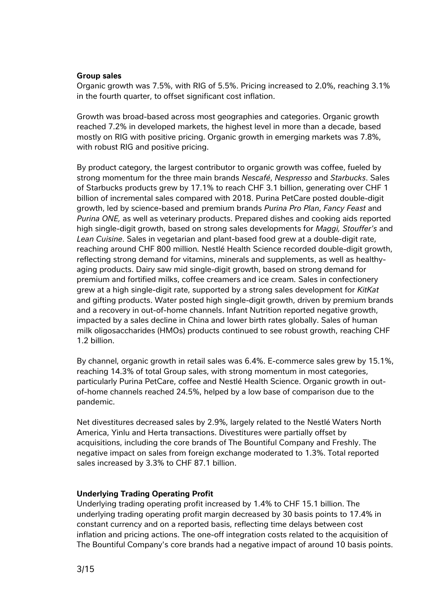#### **Group sales**

Organic growth was 7.5%, with RIG of 5.5%. Pricing increased to 2.0%, reaching 3.1% in the fourth quarter, to offset significant cost inflation.

Growth was broad-based across most geographies and categories. Organic growth reached 7.2% in developed markets, the highest level in more than a decade, based mostly on RIG with positive pricing. Organic growth in emerging markets was 7.8%, with robust RIG and positive pricing.

By product category, the largest contributor to organic growth was coffee, fueled by strong momentum for the three main brands *Nescafé*, *Nespresso* and *Starbucks*. Sales of Starbucks products grew by 17.1% to reach CHF 3.1 billion, generating over CHF 1 billion of incremental sales compared with 2018. Purina PetCare posted double-digit growth, led by science-based and premium brands *Purina Pro Plan*, *Fancy Feast* and *Purina ONE,* as well as veterinary products. Prepared dishes and cooking aids reported high single-digit growth, based on strong sales developments for *Maggi, Stouffer's* and *Lean Cuisine*. Sales in vegetarian and plant-based food grew at a double-digit rate, reaching around CHF 800 million*.* Nestlé Health Science recorded double-digit growth, reflecting strong demand for vitamins, minerals and supplements, as well as healthyaging products. Dairy saw mid single-digit growth, based on strong demand for premium and fortified milks, coffee creamers and ice cream. Sales in confectionery grew at a high single-digit rate, supported by a strong sales development for *KitKat* and gifting products. Water posted high single-digit growth, driven by premium brands and a recovery in out-of-home channels. Infant Nutrition reported negative growth, impacted by a sales decline in China and lower birth rates globally. Sales of human milk oligosaccharides (HMOs) products continued to see robust growth, reaching CHF 1.2 billion.

By channel, organic growth in retail sales was 6.4%. E-commerce sales grew by 15.1%, reaching 14.3% of total Group sales, with strong momentum in most categories, particularly Purina PetCare, coffee and Nestlé Health Science. Organic growth in outof-home channels reached 24.5%, helped by a low base of comparison due to the pandemic.

Net divestitures decreased sales by 2.9%, largely related to the Nestlé Waters North America, Yinlu and Herta transactions. Divestitures were partially offset by acquisitions, including the core brands of The Bountiful Company and Freshly. The negative impact on sales from foreign exchange moderated to 1.3%. Total reported sales increased by 3.3% to CHF 87.1 billion.

#### **Underlying Trading Operating Profit**

Underlying trading operating profit increased by 1.4% to CHF 15.1 billion. The underlying trading operating profit margin decreased by 30 basis points to 17.4% in constant currency and on a reported basis, reflecting time delays between cost inflation and pricing actions. The one-off integration costs related to the acquisition of The Bountiful Company's core brands had a negative impact of around 10 basis points.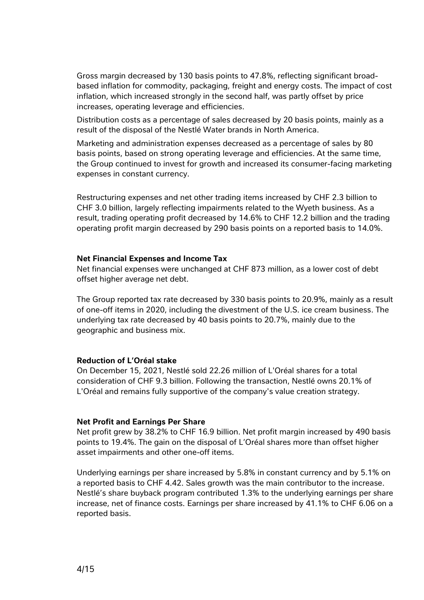Gross margin decreased by 130 basis points to 47.8%, reflecting significant broadbased inflation for commodity, packaging, freight and energy costs. The impact of cost inflation, which increased strongly in the second half, was partly offset by price increases, operating leverage and efficiencies.

Distribution costs as a percentage of sales decreased by 20 basis points, mainly as a result of the disposal of the Nestlé Water brands in North America.

Marketing and administration expenses decreased as a percentage of sales by 80 basis points, based on strong operating leverage and efficiencies. At the same time, the Group continued to invest for growth and increased its consumer-facing marketing expenses in constant currency.

Restructuring expenses and net other trading items increased by CHF 2.3 billion to CHF 3.0 billion, largely reflecting impairments related to the Wyeth business. As a result, trading operating profit decreased by 14.6% to CHF 12.2 billion and the trading operating profit margin decreased by 290 basis points on a reported basis to 14.0%.

#### **Net Financial Expenses and Income Tax**

Net financial expenses were unchanged at CHF 873 million, as a lower cost of debt offset higher average net debt.

The Group reported tax rate decreased by 330 basis points to 20.9%, mainly as a result of one-off items in 2020, including the divestment of the U.S. ice cream business. The underlying tax rate decreased by 40 basis points to 20.7%, mainly due to the geographic and business mix.

#### **Reduction of L'Oréal stake**

On December 15, 2021, Nestlé sold 22.26 million of L'Oréal shares for a total consideration of CHF 9.3 billion. Following the transaction, Nestlé owns 20.1% of L'Oréal and remains fully supportive of the company's value creation strategy.

#### **Net Profit and Earnings Per Share**

Net profit grew by 38.2% to CHF 16.9 billion. Net profit margin increased by 490 basis points to 19.4%. The gain on the disposal of L'Oréal shares more than offset higher asset impairments and other one-off items.

Underlying earnings per share increased by 5.8% in constant currency and by 5.1% on a reported basis to CHF 4.42. Sales growth was the main contributor to the increase. Nestlé's share buyback program contributed 1.3% to the underlying earnings per share increase, net of finance costs. Earnings per share increased by 41.1% to CHF 6.06 on a reported basis.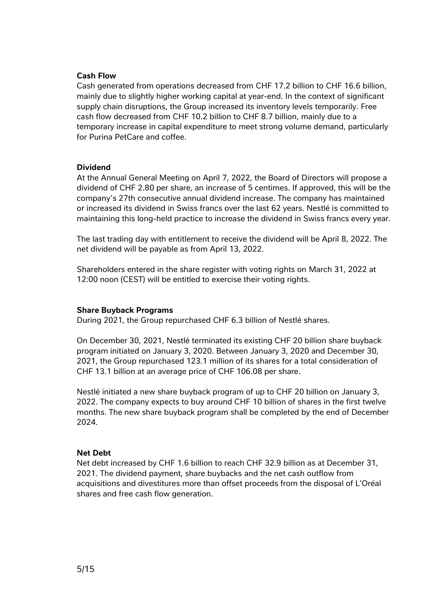#### **Cash Flow**

Cash generated from operations decreased from CHF 17.2 billion to CHF 16.6 billion, mainly due to slightly higher working capital at year-end. In the context of significant supply chain disruptions, the Group increased its inventory levels temporarily. Free cash flow decreased from CHF 10.2 billion to CHF 8.7 billion, mainly due to a temporary increase in capital expenditure to meet strong volume demand, particularly for Purina PetCare and coffee.

#### **Dividend**

At the Annual General Meeting on April 7, 2022, the Board of Directors will propose a dividend of CHF 2.80 per share, an increase of 5 centimes. If approved, this will be the company's 27th consecutive annual dividend increase. The company has maintained or increased its dividend in Swiss francs over the last 62 years. Nestlé is committed to maintaining this long-held practice to increase the dividend in Swiss francs every year.

The last trading day with entitlement to receive the dividend will be April 8, 2022. The net dividend will be payable as from April 13, 2022.

Shareholders entered in the share register with voting rights on March 31, 2022 at 12:00 noon (CEST) will be entitled to exercise their voting rights.

#### **Share Buyback Programs**

During 2021, the Group repurchased CHF 6.3 billion of Nestlé shares.

On December 30, 2021, Nestlé terminated its existing CHF 20 billion share buyback program initiated on January 3, 2020. Between January 3, 2020 and December 30, 2021, the Group repurchased 123.1 million of its shares for a total consideration of CHF 13.1 billion at an average price of CHF 106.08 per share.

Nestlé initiated a new share buyback program of up to CHF 20 billion on January 3, 2022. The company expects to buy around CHF 10 billion of shares in the first twelve months. The new share buyback program shall be completed by the end of December 2024.

#### **Net Debt**

Net debt increased by CHF 1.6 billion to reach CHF 32.9 billion as at December 31, 2021. The dividend payment, share buybacks and the net cash outflow from acquisitions and divestitures more than offset proceeds from the disposal of L'Oréal shares and free cash flow generation.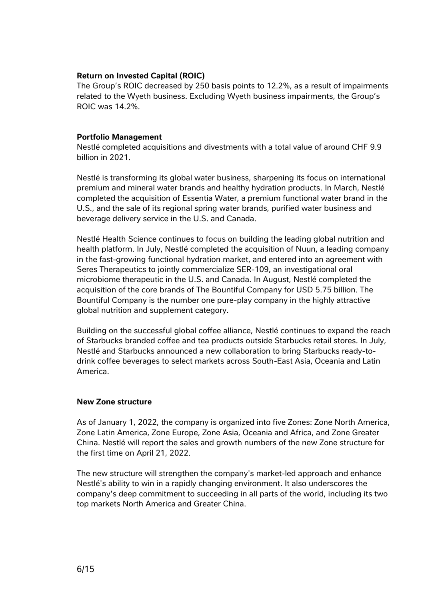#### **Return on Invested Capital (ROIC)**

The Group's ROIC decreased by 250 basis points to 12.2%, as a result of impairments related to the Wyeth business. Excluding Wyeth business impairments, the Group's ROIC was 14.2%.

#### **Portfolio Management**

Nestlé completed acquisitions and divestments with a total value of around CHF 9.9 billion in 2021.

Nestlé is transforming its global water business, sharpening its focus on international premium and mineral water brands and healthy hydration products. In March, Nestlé completed the acquisition of Essentia Water, a premium functional water brand in the U.S., and the sale of its regional spring water brands, purified water business and beverage delivery service in the U.S. and Canada.

Nestlé Health Science continues to focus on building the leading global nutrition and health platform. In July, Nestlé completed the acquisition of Nuun, a leading company in the fast-growing functional hydration market, and entered into an agreement with Seres Therapeutics to jointly commercialize SER-109, an investigational oral microbiome therapeutic in the U.S. and Canada. In August, Nestlé completed the acquisition of the core brands of The Bountiful Company for USD 5.75 billion. The Bountiful Company is the number one pure-play company in the highly attractive global nutrition and supplement category.

Building on the successful global coffee alliance, Nestlé continues to expand the reach of Starbucks branded coffee and tea products outside Starbucks retail stores. In July, Nestlé and Starbucks announced a new collaboration to bring Starbucks ready-todrink coffee beverages to select markets across South-East Asia, Oceania and Latin America.

#### **New Zone structure**

As of January 1, 2022, the company is organized into five Zones: Zone North America, Zone Latin America, Zone Europe, Zone Asia, Oceania and Africa, and Zone Greater China. Nestlé will report the sales and growth numbers of the new Zone structure for the first time on April 21, 2022.

The new structure will strengthen the company's market-led approach and enhance Nestlé's ability to win in a rapidly changing environment. It also underscores the company's deep commitment to succeeding in all parts of the world, including its two top markets North America and Greater China.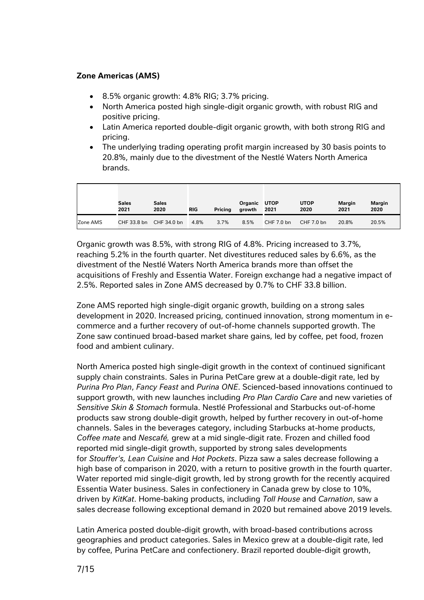# **Zone Americas (AMS)**

- 8.5% organic growth: 4.8% RIG; 3.7% pricing.
- North America posted high single-digit organic growth, with robust RIG and positive pricing.
- Latin America reported double-digit organic growth, with both strong RIG and pricing.
- The underlying trading operating profit margin increased by 30 basis points to 20.8%, mainly due to the divestment of the Nestlé Waters North America brands.

|          | <b>Sales</b><br>2021    | <b>Sales</b><br>2020 | <b>RIG</b> | Pricing | Organic UTOP<br>growth | 2021       | <b>UTOP</b><br>2020 | <b>Margin</b><br>2021 | <b>Margin</b><br>2020 |
|----------|-------------------------|----------------------|------------|---------|------------------------|------------|---------------------|-----------------------|-----------------------|
| Zone AMS | CHF 33.8 bn CHF 34.0 bn |                      | 4.8%       | 3.7%    | 8.5%                   | CHF 7.0 bn | CHF 7.0 bn          | 20.8%                 | 20.5%                 |

Organic growth was 8.5%, with strong RIG of 4.8%. Pricing increased to 3.7%, reaching 5.2% in the fourth quarter. Net divestitures reduced sales by 6.6%, as the divestment of the Nestlé Waters North America brands more than offset the acquisitions of Freshly and Essentia Water. Foreign exchange had a negative impact of 2.5%. Reported sales in Zone AMS decreased by 0.7% to CHF 33.8 billion.

Zone AMS reported high single-digit organic growth, building on a strong sales development in 2020. Increased pricing, continued innovation, strong momentum in ecommerce and a further recovery of out-of-home channels supported growth. The Zone saw continued broad-based market share gains, led by coffee, pet food, frozen food and ambient culinary.

North America posted high single-digit growth in the context of continued significant supply chain constraints. Sales in Purina PetCare grew at a double-digit rate, led by *Purina Pro Plan*, *Fancy Feast* and *Purina ONE*. Scienced-based innovations continued to support growth, with new launches including *Pro Plan Cardio Care* and new varieties of *Sensitive Skin & Stomach* formula. Nestlé Professional and Starbucks out-of-home products saw strong double-digit growth, helped by further recovery in out-of-home channels. Sales in the beverages category, including Starbucks at-home products, *Coffee mate* and *Nescafé,* grew at a mid single-digit rate. Frozen and chilled food reported mid single-digit growth, supported by strong sales developments for *Stouffer's, Lean Cuisine* and *Hot Pockets*. Pizza saw a sales decrease following a high base of comparison in 2020, with a return to positive growth in the fourth quarter. Water reported mid single-digit growth, led by strong growth for the recently acquired Essentia Water business. Sales in confectionery in Canada grew by close to 10%, driven by *KitKat*. Home-baking products, including *Toll House* and *Carnation*, saw a sales decrease following exceptional demand in 2020 but remained above 2019 levels.

Latin America posted double-digit growth, with broad-based contributions across geographies and product categories. Sales in Mexico grew at a double-digit rate, led by coffee, Purina PetCare and confectionery. Brazil reported double-digit growth,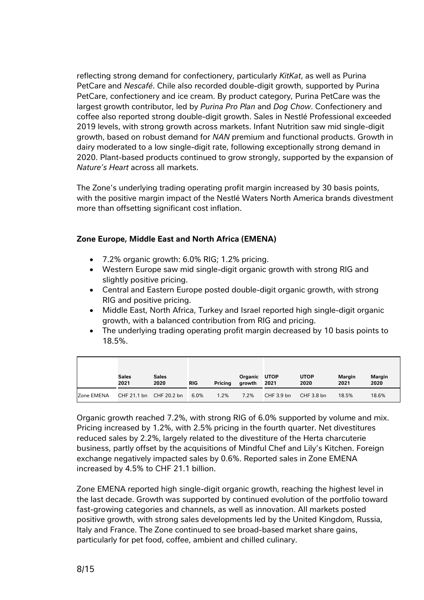reflecting strong demand for confectionery, particularly *KitKat*, as well as Purina PetCare and *Nescafé*. Chile also recorded double-digit growth, supported by Purina PetCare, confectionery and ice cream. By product category, Purina PetCare was the largest growth contributor, led by *Purina Pro Plan* and *Dog Chow*. Confectionery and coffee also reported strong double-digit growth. Sales in Nestlé Professional exceeded 2019 levels, with strong growth across markets. Infant Nutrition saw mid single-digit growth, based on robust demand for *NAN* premium and functional products. Growth in dairy moderated to a low single-digit rate, following exceptionally strong demand in 2020. Plant-based products continued to grow strongly, supported by the expansion of *Nature's Heart* across all markets.

The Zone's underlying trading operating profit margin increased by 30 basis points, with the positive margin impact of the Nestlé Waters North America brands divestment more than offsetting significant cost inflation.

# **Zone Europe, Middle East and North Africa (EMENA)**

- 7.2% organic growth: 6.0% RIG; 1.2% pricing.
- Western Europe saw mid single-digit organic growth with strong RIG and slightly positive pricing.
- Central and Eastern Europe posted double-digit organic growth, with strong RIG and positive pricing.
- Middle East, North Africa, Turkey and Israel reported high single-digit organic growth, with a balanced contribution from RIG and pricing.
- The underlying trading operating profit margin decreased by 10 basis points to 18.5%.

|            | <b>Sales</b><br>2021 | <b>Sales</b><br>2020    | <b>RIG</b> | Pricing | Organic UTOP<br>growth | 2021       | <b>UTOP</b><br>2020 | <b>Margin</b><br>2021 | <b>Margin</b><br>2020 |
|------------|----------------------|-------------------------|------------|---------|------------------------|------------|---------------------|-----------------------|-----------------------|
| Zone EMENA |                      | CHF 21.1 bn CHF 20.2 bn | 6.0%       | 1.2%    | 7.2%                   | CHF 3.9 bn | CHF 3.8 bn          | 18.5%                 | 18.6%                 |

Organic growth reached 7.2%, with strong RIG of 6.0% supported by volume and mix. Pricing increased by 1.2%, with 2.5% pricing in the fourth quarter. Net divestitures reduced sales by 2.2%, largely related to the divestiture of the Herta charcuterie business, partly offset by the acquisitions of Mindful Chef and Lily's Kitchen. Foreign exchange negatively impacted sales by 0.6%. Reported sales in Zone EMENA increased by 4.5% to CHF 21.1 billion.

Zone EMENA reported high single-digit organic growth, reaching the highest level in the last decade. Growth was supported by continued evolution of the portfolio toward fast-growing categories and channels, as well as innovation. All markets posted positive growth, with strong sales developments led by the United Kingdom, Russia, Italy and France. The Zone continued to see broad-based market share gains, particularly for pet food, coffee, ambient and chilled culinary.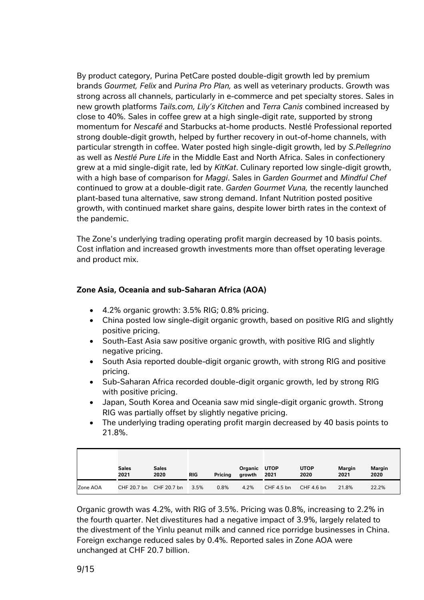By product category, Purina PetCare posted double-digit growth led by premium brands *Gourmet, Felix* and *Purina Pro Plan,* as well as veterinary products. Growth was strong across all channels, particularly in e-commerce and pet specialty stores. Sales in new growth platforms *Tails.com, Lily's Kitchen* and *Terra Canis* combined increased by close to 40%. Sales in coffee grew at a high single-digit rate, supported by strong momentum for *Nescafé* and Starbucks at-home products. Nestlé Professional reported strong double-digit growth, helped by further recovery in out-of-home channels, with particular strength in coffee. Water posted high single-digit growth, led by *S.Pellegrino*  as well as *Nestlé Pure Life* in the Middle East and North Africa. Sales in confectionery grew at a mid single-digit rate, led by *KitKat*. Culinary reported low single-digit growth, with a high base of comparison for *Maggi*. Sales in *Garden Gourmet* and *Mindful Chef* continued to grow at a double-digit rate. *Garden Gourmet Vuna,* the recently launched plant-based tuna alternative, saw strong demand. Infant Nutrition posted positive growth, with continued market share gains, despite lower birth rates in the context of the pandemic.

The Zone's underlying trading operating profit margin decreased by 10 basis points. Cost inflation and increased growth investments more than offset operating leverage and product mix.

# **Zone Asia, Oceania and sub-Saharan Africa (AOA)**

- 4.2% organic growth: 3.5% RIG; 0.8% pricing.
- China posted low single-digit organic growth, based on positive RIG and slightly positive pricing.
- South-East Asia saw positive organic growth, with positive RIG and slightly negative pricing.
- South Asia reported double-digit organic growth, with strong RIG and positive pricing.
- Sub-Saharan Africa recorded double-digit organic growth, led by strong RIG with positive pricing.
- Japan, South Korea and Oceania saw mid single-digit organic growth. Strong RIG was partially offset by slightly negative pricing.
- The underlying trading operating profit margin decreased by 40 basis points to 21.8%.

|          | <b>Sales</b><br>2021 | <b>Sales</b><br>2020 | <b>RIG</b> | Pricing | Organic<br>growth | <b>UTOP</b><br>2021 | <b>UTOP</b><br>2020 | <b>Margin</b><br>2021 | Margin<br>2020 |
|----------|----------------------|----------------------|------------|---------|-------------------|---------------------|---------------------|-----------------------|----------------|
| Zone AOA | CHF 20.7 bn          | CHF 20.7 bn          | 3.5%       | 0.8%    | 4.2%              | CHF 4.5 bn          | CHF 4.6 bn          | 21.8%                 | 22.2%          |

Organic growth was 4.2%, with RIG of 3.5%. Pricing was 0.8%, increasing to 2.2% in the fourth quarter. Net divestitures had a negative impact of 3.9%, largely related to the divestment of the Yinlu peanut milk and canned rice porridge businesses in China. Foreign exchange reduced sales by 0.4%. Reported sales in Zone AOA were unchanged at CHF 20.7 billion.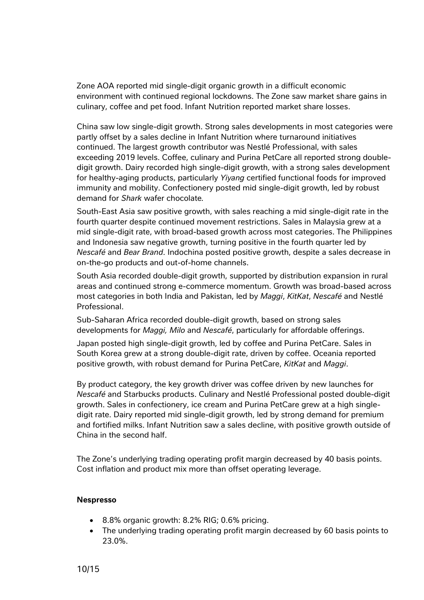Zone AOA reported mid single-digit organic growth in a difficult economic environment with continued regional lockdowns. The Zone saw market share gains in culinary, coffee and pet food. Infant Nutrition reported market share losses.

China saw low single-digit growth. Strong sales developments in most categories were partly offset by a sales decline in Infant Nutrition where turnaround initiatives continued. The largest growth contributor was Nestlé Professional, with sales exceeding 2019 levels. Coffee, culinary and Purina PetCare all reported strong doubledigit growth. Dairy recorded high single-digit growth, with a strong sales development for healthy-aging products, particularly *Yiyang* certified functional foods for improved immunity and mobility. Confectionery posted mid single-digit growth, led by robust demand for *Shark* wafer chocolate*.*

South-East Asia saw positive growth, with sales reaching a mid single-digit rate in the fourth quarter despite continued movement restrictions. Sales in Malaysia grew at a mid single-digit rate, with broad-based growth across most categories. The Philippines and Indonesia saw negative growth, turning positive in the fourth quarter led by *Nescafé* and *Bear Brand*. Indochina posted positive growth, despite a sales decrease in on-the-go products and out-of-home channels.

South Asia recorded double-digit growth, supported by distribution expansion in rural areas and continued strong e-commerce momentum. Growth was broad-based across most categories in both India and Pakistan, led by *Maggi*, *KitKat*, *Nescafé* and Nestlé Professional.

Sub-Saharan Africa recorded double-digit growth, based on strong sales developments for *Maggi, Milo* and *Nescafé*, particularly for affordable offerings.

Japan posted high single-digit growth, led by coffee and Purina PetCare. Sales in South Korea grew at a strong double-digit rate, driven by coffee. Oceania reported positive growth, with robust demand for Purina PetCare, *KitKat* and *Maggi*.

By product category, the key growth driver was coffee driven by new launches for *Nescafé* and Starbucks products. Culinary and Nestlé Professional posted double-digit growth. Sales in confectionery, ice cream and Purina PetCare grew at a high singledigit rate. Dairy reported mid single-digit growth, led by strong demand for premium and fortified milks. Infant Nutrition saw a sales decline, with positive growth outside of China in the second half.

The Zone's underlying trading operating profit margin decreased by 40 basis points. Cost inflation and product mix more than offset operating leverage.

#### **Nespresso**

- 8.8% organic growth: 8.2% RIG; 0.6% pricing.
- The underlying trading operating profit margin decreased by 60 basis points to 23.0%.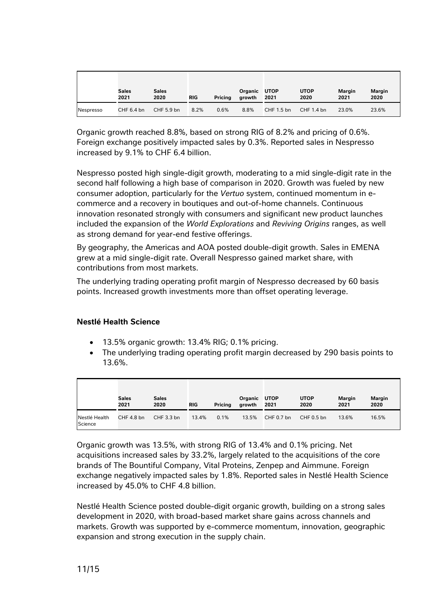|           | <b>Sales</b><br>2021 | <b>Sales</b><br>2020 | <b>RIG</b> | <b>Pricing</b> | Organic UTOP<br>growth | 2021       | <b>UTOP</b><br>2020 | Margin<br>2021 | Margin<br>2020 |
|-----------|----------------------|----------------------|------------|----------------|------------------------|------------|---------------------|----------------|----------------|
| Nespresso | CHF 6.4 bn           | CHF 5.9 bn           | 8.2%       | 0.6%           | 8.8%                   | CHF 1.5 bn | CHF 1.4 bn          | 23.0%          | 23.6%          |

Organic growth reached 8.8%, based on strong RIG of 8.2% and pricing of 0.6%. Foreign exchange positively impacted sales by 0.3%. Reported sales in Nespresso increased by 9.1% to CHF 6.4 billion.

Nespresso posted high single-digit growth, moderating to a mid single-digit rate in the second half following a high base of comparison in 2020. Growth was fueled by new consumer adoption, particularly for the *Vertuo* system, continued momentum in ecommerce and a recovery in boutiques and out-of-home channels. Continuous innovation resonated strongly with consumers and significant new product launches included the expansion of the *World Explorations* and *Reviving Origins* ranges, as well as strong demand for year-end festive offerings.

By geography, the Americas and AOA posted double-digit growth. Sales in EMENA grew at a mid single-digit rate. Overall Nespresso gained market share, with contributions from most markets.

The underlying trading operating profit margin of Nespresso decreased by 60 basis points. Increased growth investments more than offset operating leverage.

# **Nestlé Health Science**

- 13.5% organic growth: 13.4% RIG; 0.1% pricing.
- The underlying trading operating profit margin decreased by 290 basis points to 13.6%.

|                          | <b>Sales</b><br>2021 | <b>Sales</b><br>2020 | <b>RIG</b> | Pricing | Organic<br>growth | <b>UTOP</b><br>2021 | <b>UTOP</b><br>2020 | <b>Margin</b><br>2021 | <b>Margin</b><br>2020 |
|--------------------------|----------------------|----------------------|------------|---------|-------------------|---------------------|---------------------|-----------------------|-----------------------|
| Nestlé Health<br>Science | CHF 4.8 bn           | CHF 3.3 bn           | 13.4%      | 0.1%    | 13.5%             | $CHF 0.7$ bn        | CHF 0.5 bn          | 13.6%                 | 16.5%                 |

Organic growth was 13.5%, with strong RIG of 13.4% and 0.1% pricing. Net acquisitions increased sales by 33.2%, largely related to the acquisitions of the core brands of The Bountiful Company, Vital Proteins, Zenpep and Aimmune. Foreign exchange negatively impacted sales by 1.8%. Reported sales in Nestlé Health Science increased by 45.0% to CHF 4.8 billion.

Nestlé Health Science posted double-digit organic growth, building on a strong sales development in 2020, with broad-based market share gains across channels and markets. Growth was supported by e-commerce momentum, innovation, geographic expansion and strong execution in the supply chain.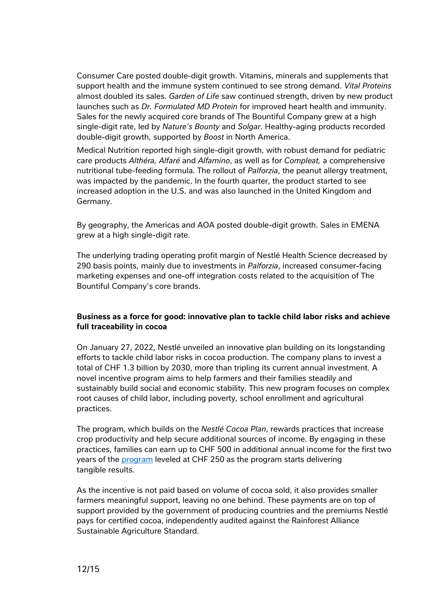Consumer Care posted double-digit growth. Vitamins, minerals and supplements that support health and the immune system continued to see strong demand. *Vital Proteins* almost doubled its sales*. Garden of Life* saw continued strength, driven by new product launches such as *Dr. Formulated MD Protein* for improved heart health and immunity. Sales for the newly acquired core brands of The Bountiful Company grew at a high single-digit rate, led by *Nature's Bounty* and *Solgar*. Healthy-aging products recorded double-digit growth, supported by *Boost* in North America.

Medical Nutrition reported high single-digit growth, with robust demand for pediatric care products *Althéra, Alfaré* and *Alfamino*, as well as for *Compleat,* a comprehensive nutritional tube-feeding formula*.* The rollout of *Palforzia*, the peanut allergy treatment, was impacted by the pandemic. In the fourth quarter, the product started to see increased adoption in the U.S. and was also launched in the United Kingdom and Germany.

By geography, the Americas and AOA posted double-digit growth. Sales in EMENA grew at a high single-digit rate.

The underlying trading operating profit margin of Nestlé Health Science decreased by 290 basis points, mainly due to investments in *Palforzia*, increased consumer-facing marketing expenses and one-off integration costs related to the acquisition of The Bountiful Company's core brands.

# **Business as a force for good: innovative plan to tackle child labor risks and achieve full traceability in cocoa**

On January 27, 2022, Nestlé unveiled an innovative plan building on its longstanding efforts to tackle child labor risks in cocoa production. The company plans to invest a total of CHF 1.3 billion by 2030, more than tripling its current annual investment. A novel incentive program aims to help farmers and their families steadily and sustainably build social and economic stability. This new program focuses on complex root causes of child labor, including poverty, school enrollment and agricultural practices.

The program, which builds on the *Nestlé Cocoa Plan*, rewards practices that increase crop productivity and help secure additional sources of income. By engaging in these practices, families can earn up to CHF 500 in additional annual income for the first two years of the [program](https://www.nestle.com/sites/default/files/2022-01/nestle-income-accelerator-program-infographic.pdf) leveled at CHF 250 as the program starts delivering tangible results.

As the incentive is not paid based on volume of cocoa sold, it also provides smaller farmers meaningful support, leaving no one behind. These payments are on top of support provided by the government of producing countries and the premiums Nestlé pays for certified cocoa, independently audited against the Rainforest Alliance Sustainable Agriculture Standard.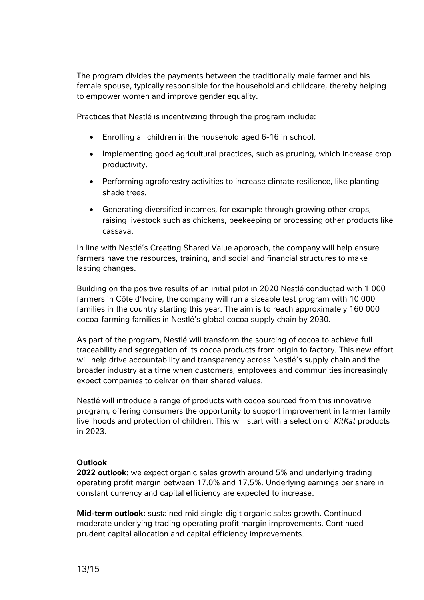The program divides the payments between the traditionally male farmer and his female spouse, typically responsible for the household and childcare, thereby helping to empower women and improve gender equality.

Practices that Nestlé is incentivizing through the program include:

- Enrolling all children in the household aged 6-16 in school.
- Implementing good agricultural practices, such as pruning, which increase crop productivity.
- Performing agroforestry activities to increase climate resilience, like planting shade trees.
- Generating diversified incomes, for example through growing other crops, raising livestock such as chickens, beekeeping or processing other products like cassava.

In line with Nestlé's Creating Shared Value approach, the company will help ensure farmers have the resources, training, and social and financial structures to make lasting changes.

Building on the positive results of an initial pilot in 2020 Nestlé conducted with 1 000 farmers in Côte d'Ivoire, the company will run a sizeable test program with 10 000 families in the country starting this year. The aim is to reach approximately 160 000 cocoa-farming families in Nestlé's global cocoa supply chain by 2030.

As part of the program, Nestlé will transform the sourcing of cocoa to achieve full traceability and segregation of its cocoa products from origin to factory. This new effort will help drive accountability and transparency across Nestlé's supply chain and the broader industry at a time when customers, employees and communities increasingly expect companies to deliver on their shared values.

Nestlé will introduce a range of products with cocoa sourced from this innovative program, offering consumers the opportunity to support improvement in farmer family livelihoods and protection of children. This will start with a selection of *KitKat* products in 2023.

# **Outlook**

**2022 outlook:** we expect organic sales growth around 5% and underlying trading operating profit margin between 17.0% and 17.5%. Underlying earnings per share in constant currency and capital efficiency are expected to increase.

**Mid-term outlook:** sustained mid single-digit organic sales growth. Continued moderate underlying trading operating profit margin improvements. Continued prudent capital allocation and capital efficiency improvements.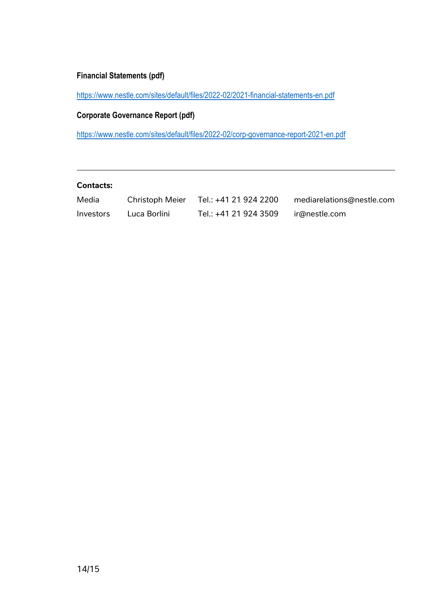# **Financial Statements (pdf)**

<https://www.nestle.com/sites/default/files/2022-02/2021-financial-statements-en.pdf>

**Corporate Governance Report (pdf)**

<https://www.nestle.com/sites/default/files/2022-02/corp-governance-report-2021-en.pdf>

# **Contacts:**

| Media     | <b>Christoph Meier</b> | Tel.: +41 21 924 2200 | mediarelations@nestle.com |
|-----------|------------------------|-----------------------|---------------------------|
| Investors | Luca Borlini           | Tel.: +41 21 924 3509 | ir@nestle.com             |